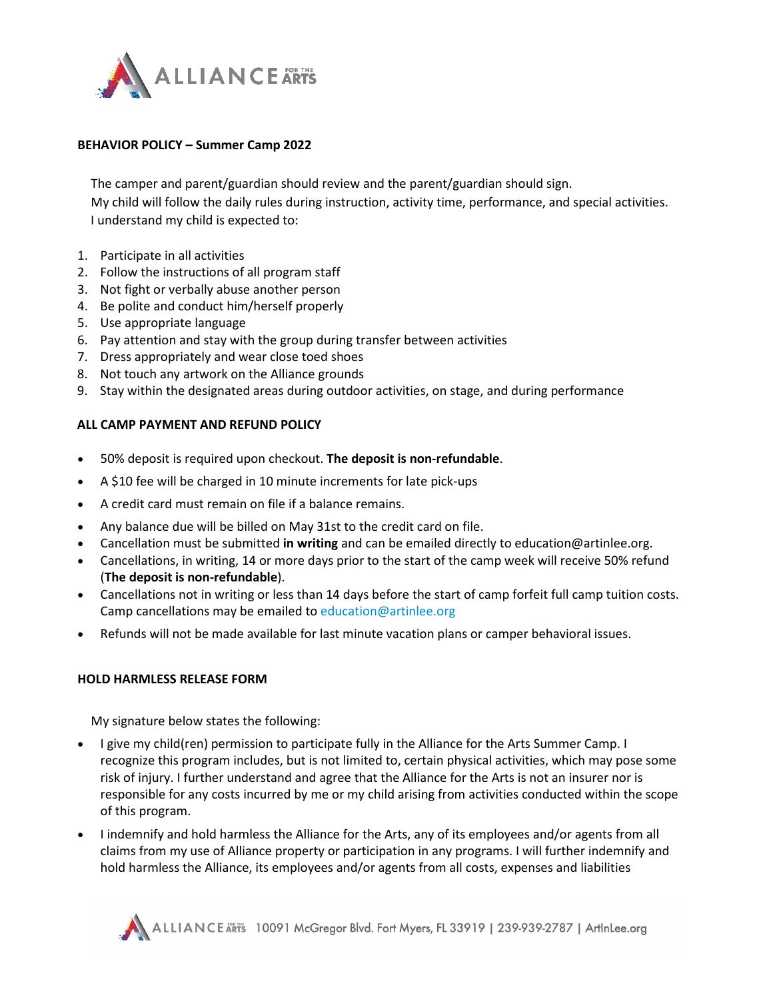

## **BEHAVIOR POLICY – Summer Camp 2022**

The camper and parent/guardian should review and the parent/guardian should sign. My child will follow the daily rules during instruction, activity time, performance, and special activities. I understand my child is expected to:

- 1. Participate in all activities
- 2. Follow the instructions of all program staff
- 3. Not fight or verbally abuse another person
- 4. Be polite and conduct him/herself properly
- 5. Use appropriate language
- 6. Pay attention and stay with the group during transfer between activities
- 7. Dress appropriately and wear close toed shoes
- 8. Not touch any artwork on the Alliance grounds
- 9. Stay within the designated areas during outdoor activities, on stage, and during performance

## **ALL CAMP PAYMENT AND REFUND POLICY**

- 50% deposit is required upon checkout. **The deposit is non-refundable**.
- A \$10 fee will be charged in 10 minute increments for late pick-ups
- A credit card must remain on file if a balance remains.
- Any balance due will be billed on May 31st to the credit card on file.
- Cancellation must be submitted **in writing** and can be emailed directly to education@artinlee.org.
- Cancellations, in writing, 14 or more days prior to the start of the camp week will receive 50% refund (**The deposit is non-refundable**).
- Cancellations not in writing or less than 14 days before the start of camp forfeit full camp tuition costs. Camp cancellations may be emailed to [education@artinlee.org](mailto:education@artinlee.org)
- Refunds will not be made available for last minute vacation plans or camper behavioral issues.

## **HOLD HARMLESS RELEASE FORM**

My signature below states the following:

- I give my child(ren) permission to participate fully in the Alliance for the Arts Summer Camp. I recognize this program includes, but is not limited to, certain physical activities, which may pose some risk of injury. I further understand and agree that the Alliance for the Arts is not an insurer nor is responsible for any costs incurred by me or my child arising from activities conducted within the scope of this program.
- I indemnify and hold harmless the Alliance for the Arts, any of its employees and/or agents from all claims from my use of Alliance property or participation in any programs. I will further indemnify and hold harmless the Alliance, its employees and/or agents from all costs, expenses and liabilities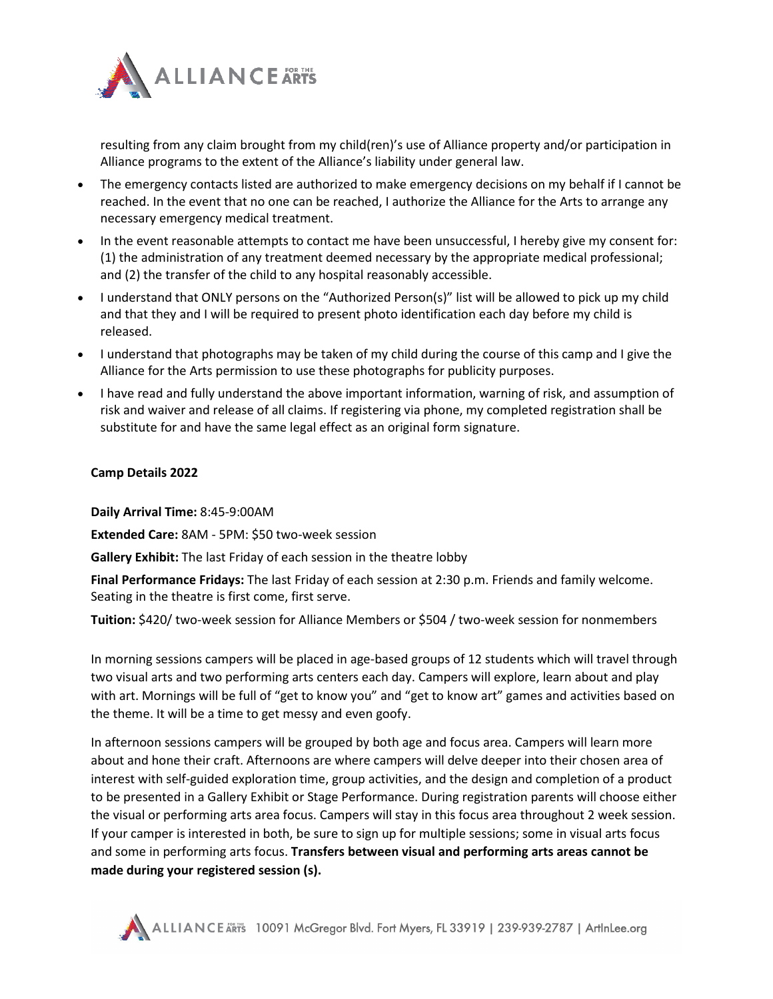

resulting from any claim brought from my child(ren)'s use of Alliance property and/or participation in Alliance programs to the extent of the Alliance's liability under general law.

- The emergency contacts listed are authorized to make emergency decisions on my behalf if I cannot be reached. In the event that no one can be reached, I authorize the Alliance for the Arts to arrange any necessary emergency medical treatment.
- In the event reasonable attempts to contact me have been unsuccessful, I hereby give my consent for: (1) the administration of any treatment deemed necessary by the appropriate medical professional; and (2) the transfer of the child to any hospital reasonably accessible.
- I understand that ONLY persons on the "Authorized Person(s)" list will be allowed to pick up my child and that they and I will be required to present photo identification each day before my child is released.
- I understand that photographs may be taken of my child during the course of this camp and I give the Alliance for the Arts permission to use these photographs for publicity purposes.
- I have read and fully understand the above important information, warning of risk, and assumption of risk and waiver and release of all claims. If registering via phone, my completed registration shall be substitute for and have the same legal effect as an original form signature.

## **Camp Details 2022**

**Daily Arrival Time:** 8:45-9:00AM

**Extended Care:** 8AM - 5PM: \$50 two-week session

**Gallery Exhibit:** The last Friday of each session in the theatre lobby

**Final Performance Fridays:** The last Friday of each session at 2:30 p.m. Friends and family welcome. Seating in the theatre is first come, first serve.

**Tuition:** \$420/ two-week session for Alliance Members or \$504 / two-week session for nonmembers

In morning sessions campers will be placed in age-based groups of 12 students which will travel through two visual arts and two performing arts centers each day. Campers will explore, learn about and play with art. Mornings will be full of "get to know you" and "get to know art" games and activities based on the theme. It will be a time to get messy and even goofy.

In afternoon sessions campers will be grouped by both age and focus area. Campers will learn more about and hone their craft. Afternoons are where campers will delve deeper into their chosen area of interest with self-guided exploration time, group activities, and the design and completion of a product to be presented in a Gallery Exhibit or Stage Performance. During registration parents will choose either the visual or performing arts area focus. Campers will stay in this focus area throughout 2 week session. If your camper is interested in both, be sure to sign up for multiple sessions; some in visual arts focus and some in performing arts focus. **Transfers between visual and performing arts areas cannot be made during your registered session (s).**